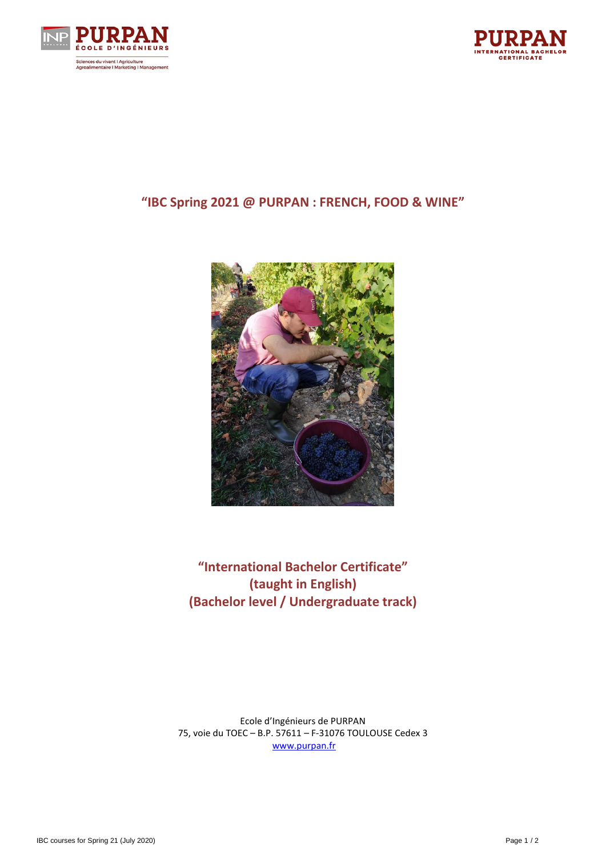



# **"IBC Spring 2021 @ PURPAN : FRENCH, FOOD & WINE"**



**"International Bachelor Certificate" (taught in English) (Bachelor level / Undergraduate track)**

Ecole d'Ingénieurs de PURPAN 75, voie du TOEC – B.P. 57611 – F-31076 TOULOUSE Cedex 3 [www.purpan.fr](http://www.purpan.fr/)